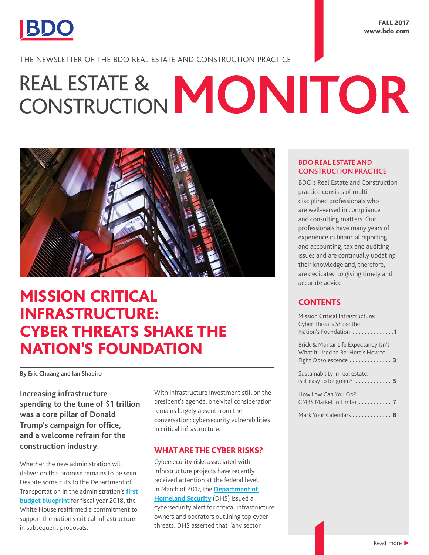

THE NEWSLETTER OF THE BDO REAL ESTATE AND CONSTRUCTION PRACTICE

# REAL ESTATE & MONITOR



## MISSION CRITICAL INFRASTRUCTURE: CYBER THREATS SHAKE THE NATION'S FOUNDATION

#### **By Eric Chuang and Ian Shapiro**

**Increasing infrastructure spending to the tune of \$1 trillion was a core pillar of Donald Trump's campaign for office, and a welcome refrain for the construction industry.**

Whether the new administration will deliver on this promise remains to be seen. Despite some cuts to the Department of Transportation in the administration's **[first](https://www.axios.com/trumps-hard-power-budget-2315721646.html)  [budget blueprint](https://www.axios.com/trumps-hard-power-budget-2315721646.html)** for fiscal year 2018, the White House reaffirmed a commitment to support the nation's critical infrastructure in subsequent proposals.

With infrastructure investment still on the president's agenda, one vital consideration remains largely absent from the conversation: cybersecurity vulnerabilities in critical infrastructure.

#### WHAT ARE THE CYBER RISKS?

Cybersecurity risks associated with infrastructure projects have recently received attention at the federal level. In March of 2017, the **[Department of](https://www.dhs.gov/blog/2016/03/07/dhs-works-critical-infrastructure-owners-and-operators-raise-awareness-cyber-threats)  [Homeland Security](https://www.dhs.gov/blog/2016/03/07/dhs-works-critical-infrastructure-owners-and-operators-raise-awareness-cyber-threats)** (DHS) issued a cybersecurity alert for critical infrastructure owners and operators outlining top cyber threats. DHS asserted that "any sector

#### **BDO REAL ESTATE AND CONSTRUCTION PRACTICE**

BDO's Real Estate and Construction practice consists of multidisciplined professionals who are well-versed in compliance and consulting matters. Our professionals have many years of experience in financial reporting and accounting, tax and auditing issues and are continually updating their knowledge and, therefore, are dedicated to giving timely and accurate advice.

#### **CONTENTS**

| Mission Critical Infrastructure:<br>Cyber Threats Shake the<br>Nation's Foundation 1               |
|----------------------------------------------------------------------------------------------------|
| Brick & Mortar Life Expectancy Isn't<br>What It Used to Be: Here's How to<br>Fight Obsolescence  3 |
| Sustainability in real estate:                                                                     |

[How Low Can You Go?](#page-6-0)  [CMBS Market in Limbo](#page-6-0) **. . . . . . . . . . . 7**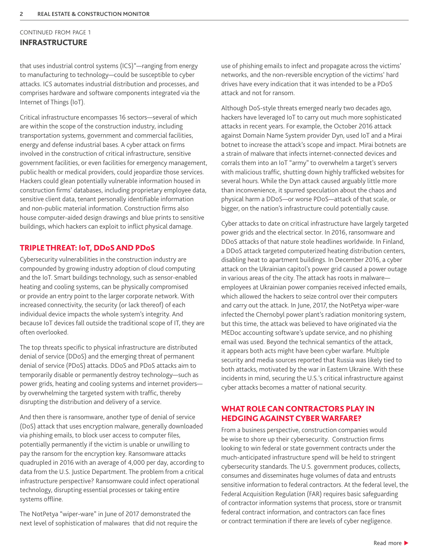#### CONTINUED FROM PAGE 1 INFRASTRUCTURE

that uses industrial control systems (ICS)"—ranging from energy to manufacturing to technology—could be susceptible to cyber attacks. ICS automates industrial distribution and processes, and comprises hardware and software components integrated via the Internet of Things (IoT).

Critical infrastructure encompasses 16 sectors—several of which are within the scope of the construction industry, including transportation systems, government and commercial facilities, energy and defense industrial bases. A cyber attack on firms involved in the construction of critical infrastructure, sensitive government facilities, or even facilities for emergency management, public health or medical providers, could jeopardize those services. Hackers could glean potentially vulnerable information housed in construction firms' databases, including proprietary employee data, sensitive client data, tenant personally identifiable information and non-public material information. Construction firms also house computer-aided design drawings and blue prints to sensitive buildings, which hackers can exploit to inflict physical damage.

#### TRIPLE THREAT: IoT, DDoS AND PDoS

Cybersecurity vulnerabilities in the construction industry are compounded by growing industry adoption of cloud computing and the IoT. Smart buildings technology, such as sensor-enabled heating and cooling systems, can be physically compromised or provide an entry point to the larger corporate network. With increased connectivity, the security (or lack thereof) of each individual device impacts the whole system's integrity. And because IoT devices fall outside the traditional scope of IT, they are often overlooked.

The top threats specific to physical infrastructure are distributed denial of service (DDoS) and the emerging threat of permanent denial of service (PDoS) attacks. DDoS and PDoS attacks aim to temporarily disable or permanently destroy technology—such as power grids, heating and cooling systems and internet providers by overwhelming the targeted system with traffic, thereby disrupting the distribution and delivery of a service.

And then there is ransomware, another type of denial of service (DoS) attack that uses encryption malware, generally downloaded via phishing emails, to block user access to computer files, potentially permanently if the victim is unable or unwilling to pay the ransom for the encryption key. Ransomware attacks quadrupled in 2016 with an average of 4,000 per day, according to data from the U.S. Justice Department. The problem from a critical infrastructure perspective? Ransomware could infect operational technology, disrupting essential processes or taking entire systems offline.

The NotPetya "wiper-ware" in June of 2017 demonstrated the next level of sophistication of malwares that did not require the use of phishing emails to infect and propagate across the victims' networks, and the non-reversible encryption of the victims' hard drives have every indication that it was intended to be a PDoS attack and not for ransom.

Although DoS-style threats emerged nearly two decades ago, hackers have leveraged IoT to carry out much more sophisticated attacks in recent years. For example, the October 2016 attack against Domain Name System provider Dyn, used IoT and a Mirai botnet to increase the attack's scope and impact. Mirai botnets are a strain of malware that infects internet-connected devices and corrals them into an IoT "army" to overwhelm a target's servers with malicious traffic, shutting down highly trafficked websites for several hours. While the Dyn attack caused arguably little more than inconvenience, it spurred speculation about the chaos and physical harm a DDoS—or worse PDoS—attack of that scale, or bigger, on the nation's infrastructure could potentially cause.

Cyber attacks to date on critical infrastructure have largely targeted power grids and the electrical sector. In 2016, ransomware and DDoS attacks of that nature stole headlines worldwide. In Finland, a DDoS attack targeted computerized heating distribution centers, disabling heat to apartment buildings. In December 2016, a cyber attack on the Ukrainian capitol's power grid caused a power outage in various areas of the city. The attack has roots in malware employees at Ukrainian power companies received infected emails, which allowed the hackers to seize control over their computers and carry out the attack. In June, 2017, the NotPetya wiper-ware infected the Chernobyl power plant's radiation monitoring system, but this time, the attack was believed to have originated via the MEDoc accounting software's update service, and no phishing email was used. Beyond the technical semantics of the attack, it appears both acts might have been cyber warfare. Multiple security and media sources reported that Russia was likely tied to both attacks, motivated by the war in Eastern Ukraine. With these incidents in mind, securing the U.S.'s critical infrastructure against cyber attacks becomes a matter of national security.

#### WHAT ROLE CAN CONTRACTORS PLAY IN HEDGING AGAINST CYBER WARFARE?

From a business perspective, construction companies would be wise to shore up their cybersecurity. Construction firms looking to win federal or state government contracts under the much-anticipated infrastructure spend will be held to stringent cybersecurity standards. The U.S. government produces, collects, consumes and disseminates huge volumes of data and entrusts sensitive information to federal contractors. At the federal level, the Federal Acquisition Regulation (FAR) requires basic safeguarding of contractor information systems that process, store or transmit federal contract information, and contractors can face fines or contract termination if there are levels of cyber negligence.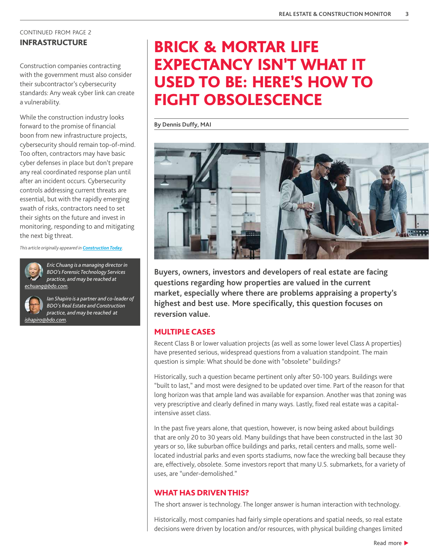## <span id="page-2-0"></span>CONTINUED FROM PAGE 2

Construction companies contracting with the government must also consider their subcontractor's cybersecurity standards: Any weak cyber link can create a vulnerability.

While the construction industry looks forward to the promise of financial boon from new infrastructure projects, cybersecurity should remain top-of-mind. Too often, contractors may have basic cyber defenses in place but don't prepare any real coordinated response plan until after an incident occurs. Cybersecurity controls addressing current threats are essential, but with the rapidly emerging swath of risks, contractors need to set their sights on the future and invest in monitoring, responding to and mitigating the next big threat.

*This article originally appeared in [Construction Today](http://digital.construction-today.com/nxtbooks/knighthouse/ct_20170708/index.php#/14).*



*Eric Chuang is a managing director in BDO's Forensic Technology Services practice, and may be reached at [echuang@bdo.com](mailto:echuang%40bdo.com?subject=).*

*Ian Shapiro is a partner and co-leader of BDO's Real Estate and Construction practice, and may be reached at [ishapiro@bdo.com](mailto:ishapiro%40bdo.com?subject=).* 

## INFRASTRUCTURE **BRICK & MORTAR LIFE** EXPECTANCY ISN'T WHAT IT USED TO BE: HERE'S HOW TO FIGHT OBSOLESCENCE

**By Dennis Duffy, MAI**



**Buyers, owners, investors and developers of real estate are facing questions regarding how properties are valued in the current market, especially where there are problems appraising a property's highest and best use. More specifically, this question focuses on reversion value.**

#### MULTIPLE CASES

Recent Class B or lower valuation projects (as well as some lower level Class A properties) have presented serious, widespread questions from a valuation standpoint. The main question is simple: What should be done with "obsolete" buildings?

Historically, such a question became pertinent only after 50-100 years. Buildings were "built to last," and most were designed to be updated over time. Part of the reason for that long horizon was that ample land was available for expansion. Another was that zoning was very prescriptive and clearly defined in many ways. Lastly, fixed real estate was a capitalintensive asset class.

In the past five years alone, that question, however, is now being asked about buildings that are only 20 to 30 years old. Many buildings that have been constructed in the last 30 years or so, like suburban office buildings and parks, retail centers and malls, some welllocated industrial parks and even sports stadiums, now face the wrecking ball because they are, effectively, obsolete. Some investors report that many U.S. submarkets, for a variety of uses, are "under-demolished."

#### WHAT HAS DRIVEN THIS?

The short answer is technology. The longer answer is human interaction with technology.

Historically, most companies had fairly simple operations and spatial needs, so real estate decisions were driven by location and/or resources, with physical building changes limited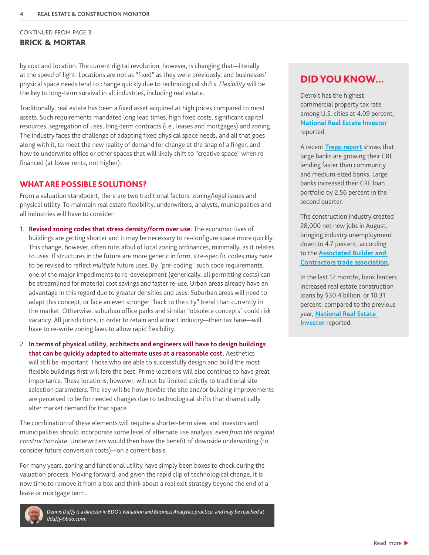#### CONTINUED FROM PAGE 3 BRICK & MORTAR

by cost and location. The current digital revolution, however, is changing that—literally at the speed of light. Locations are not as "fixed" as they were previously, and businesses' physical space needs tend to change quickly due to technological shifts. *Flexibility* will be the key to long-term survival in all industries, including real estate.

Traditionally, real estate has been a fixed asset acquired at high prices compared to most assets. Such requirements mandated long lead times, high fixed costs, significant capital resources, segregation of uses, long-term contracts (i.e., leases and mortgages) and zoning. The industry faces the challenge of adapting fixed physical space needs, and all that goes along with it, to meet the new reality of demand for change at the snap of a finger, and how to underwrite office or other spaces that will likely shift to "creative space" when refinanced (at lower rents, not higher).

#### WHAT ARE POSSIBLE SOLUTIONS?

From a valuation standpoint, there are two traditional factors: zoning/legal issues and physical utility. To maintain real estate flexibility, underwriters, analysts, municipalities and all industries will have to consider:

- 1. **Revised zoning codes that stress density/form over use.** The economic lives of buildings are getting shorter and it may be necessary to re-configure space more quickly. This change, however, often runs afoul of local zoning ordinances, minimally, as it relates to uses. If structures in the future are more generic in form, site-specific codes may have to be revised to reflect *multiple* future uses. By "pre-coding" such code requirements, one of the major impediments to re-development (generically, all permitting costs) can be streamlined for material cost savings and faster re-use. Urban areas already have an advantage in this regard due to greater densities and uses. Suburban areas will need to adapt this concept, or face an even stronger "back to the city" trend than currently in the market. Otherwise, suburban office parks and similar "obsolete concepts" could risk vacancy. All jurisdictions, in order to retain and attract industry—their tax base—will have to re-write zoning laws to allow rapid flexibility.
- 2. **In terms of physical utility, architects and engineers will have to design buildings that can be quickly adapted to alternate uses at a reasonable cost.** Aesthetics will still be important. Those who are able to successfully design and build the most flexible buildings first will fare the best. Prime locations will also continue to have great importance. These locations, however, will not be limited strictly to traditional site selection parameters. The key will be how *flexible* the site and/or building improvements are perceived to be for needed changes due to technological shifts that dramatically alter market demand for that space.

The combination of these elements will require a shorter-term view, and investors and municipalities should incorporate some level of alternate use analysis, *even from the original construction date.* Underwriters would then have the benefit of downside underwriting (to consider future conversion costs)—on a current basis.

For many years, zoning and functional utility have simply been boxes to check during the valuation process. Moving forward, and given the rapid clip of technological change, it is now time to remove it from a box and think about a real exit strategy beyond the end of a lease or mortgage term.



*Dennis Duffy is a director in BDO's Valuation and Business Analytics practice, and may be reached at [dduffy@bdo.com.](mailto:dduffy%40bdo.com?subject=)* 

#### DID YOU KNOW...

Detroit has the highest commercial property tax rate among U.S. cities at 4.09 percent, **[National Real Estate Investor](http://www.nreionline.com/finance-investment/top-10-cities-highest-commercial-property-taxes/gallery?slide=11)** reported.

A recent **[Trepp report](https://www.cpexecutive.com/post/economy-watch-large-banks-grow-cre-lending-faster-than-smaller-ones/)** shows that large banks are growing their CRE lending faster than community and medium-sized banks. Large banks increased their CRE loan portfolio by 2.56 percent in the second quarter.

The construction industry created 28,000 net new jobs in August, bringing industry unemployment down to 4.7 percent, according to the **[Associated Builder and](http://www.njbiz.com/article/20170905/NJBIZ01/170909948/nonresidential-construction-bounces-back-in-august-abc-says)  [Contractors trade association](http://www.njbiz.com/article/20170905/NJBIZ01/170909948/nonresidential-construction-bounces-back-in-august-abc-says)**.

In the last 12 months, bank lenders increased real estate construction loans by \$30.4 billion, or 10.31 percent, compared to the previous year, **[National Real Estate](http://www.nreionline.com/multifamily/bank-loans-still-available-apartment-construction-caveats-abound)  [Investor](http://www.nreionline.com/multifamily/bank-loans-still-available-apartment-construction-caveats-abound)** reported.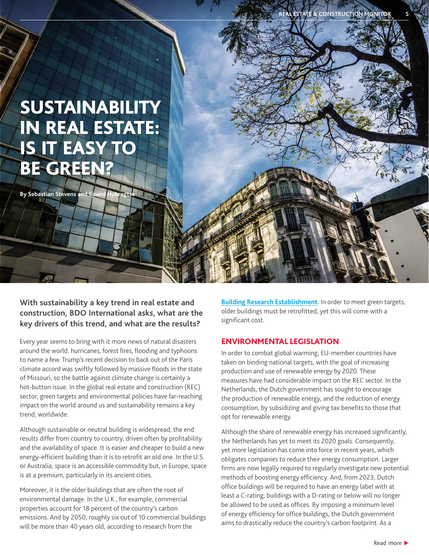# <span id="page-4-0"></span>**SUSTAINABILITY** IN REAL ESTATE: IS IT EASY TO BE GREEN?

**By Sebastian Stevens and \** 

**With sustainability a key trend in real estate and construction, BDO International asks, what are the key drivers of this trend, and what are the results?** 

Every year seems to bring with it more news of natural disasters around the world: hurricanes, forest fires, flooding and typhoons to name a few. Trump's recent decision to back out of the Paris climate accord was swiftly followed by massive floods in the state of Missouri, so the battle against climate change is certainly a hot-button issue. In the global real estate and construction (REC) sector, green targets and environmental policies have far-reaching impact on the world around us and sustainability remains a key trend, worldwide.

Although sustainable or neutral building is widespread, the end results differ from country to country, driven often by profitability and the availability of space. It is easier and cheaper to build a new energy-efficient building than it is to retrofit an old one. In the U.S. or Australia, space is an accessible commodity but, in Europe, space is at a premium, particularly in its ancient cities.

Moreover, it is the older buildings that are often the root of environmental damage. In the U.K., for example, commercial properties account for 18 percent of the country's carbon emissions. And by 2050, roughly six out of 10 commercial buildings will be more than 40 years old, according to research from the

**[Building Research Establishment](https://www.bre.co.uk/)**. In order to meet green targets, older buildings must be retrofitted, yet this will come with a significant cost.

#### ENVIRONMENTAL LEGISLATION

In order to combat global warming, EU-member countries have taken on binding national targets, with the goal of increasing production and use of renewable energy by 2020. These measures have had considerable impact on the REC sector. In the Netherlands, the Dutch government has sought to encourage the production of renewable energy, and the reduction of energy consumption, by subsidizing and giving tax benefits to those that opt for renewable energy.

Although the share of renewable energy has increased significantly, the Netherlands has yet to meet its 2020 goals. Consequently, yet more legislation has come into force in recent years, which obligates companies to reduce their energy consumption. Larger firms are now legally required to regularly investigate new potential methods of boosting energy efficiency. And, from 2023, Dutch office buildings will be required to have an energy label with at least a C-rating; buildings with a D-rating or below will no longer be allowed to be used as offices. By imposing a minimum level of energy efficiency for office buildings, the Dutch government aims to drastically reduce the country's carbon footprint. As a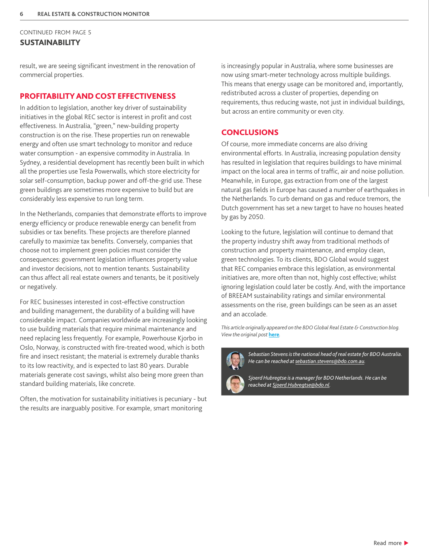#### CONTINUED FROM PAGE 5 **SUSTAINABILITY**

result, we are seeing significant investment in the renovation of commercial properties.

#### PROFITABILITY AND COST EFFECTIVENESS

In addition to legislation, another key driver of sustainability initiatives in the global REC sector is interest in profit and cost effectiveness. In Australia, "green," new-building property construction is on the rise. These properties run on renewable energy and often use smart technology to monitor and reduce water consumption - an expensive commodity in Australia. In Sydney, a residential development has recently been built in which all the properties use Tesla Powerwalls, which store electricity for solar self-consumption, backup power and off-the-grid use. These green buildings are sometimes more expensive to build but are considerably less expensive to run long term.

In the Netherlands, companies that demonstrate efforts to improve energy efficiency or produce renewable energy can benefit from subsidies or tax benefits. These projects are therefore planned carefully to maximize tax benefits. Conversely, companies that choose not to implement green policies must consider the consequences: government legislation influences property value and investor decisions, not to mention tenants. Sustainability can thus affect all real estate owners and tenants, be it positively or negatively.

For REC businesses interested in cost-effective construction and building management, the durability of a building will have considerable impact. Companies worldwide are increasingly looking to use building materials that require minimal maintenance and need replacing less frequently. For example, Powerhouse Kjorbo in Oslo, Norway, is constructed with fire-treated wood, which is both fire and insect resistant; the material is extremely durable thanks to its low reactivity, and is expected to last 80 years. Durable materials generate cost savings, whilst also being more green than standard building materials, like concrete.

Often, the motivation for sustainability initiatives is pecuniary - but the results are inarguably positive. For example, smart monitoring

is increasingly popular in Australia, where some businesses are now using smart-meter technology across multiple buildings. This means that energy usage can be monitored and, importantly, redistributed across a cluster of properties, depending on requirements, thus reducing waste, not just in individual buildings, but across an entire community or even city.

#### **CONCLUSIONS**

Of course, more immediate concerns are also driving environmental efforts. In Australia, increasing population density has resulted in legislation that requires buildings to have minimal impact on the local area in terms of traffic, air and noise pollution. Meanwhile, in Europe, gas extraction from one of the largest natural gas fields in Europe has caused a number of earthquakes in the Netherlands. To curb demand on gas and reduce tremors, the Dutch government has set a new target to have no houses heated by gas by 2050.

Looking to the future, legislation will continue to demand that the property industry shift away from traditional methods of construction and property maintenance, and employ clean, green technologies. To its clients, BDO Global would suggest that REC companies embrace this legislation, as environmental initiatives are, more often than not, highly cost effective; whilst ignoring legislation could later be costly. And, with the importance of BREEAM sustainability ratings and similar environmental assessments on the rise, green buildings can be seen as an asset and an accolade.

*This article originally appeared on the BDO Global Real Estate & Construction blog. View the original post* **[here](https://www.bdo.global/en-gb/blogs/real-estate-construction-blog/june-2017/sustainability-in-real-estate-is-it-easy-to-be-gr)***.*



*Sebastian Stevens is the national head of real estate for BDO Australia. He can be reached at [sebastian.stevens@bdo.com.au](mailto:sebastian.stevens%40bdo.com.au?subject=).* 



*Sjoerd Hubregtse is a manager for BDO Netherlands. He can be reached at [Sjoerd.Hubregtse@bdo.nl](mailto:Sjoerd.Hubregtse%40bdo.nl?subject=).*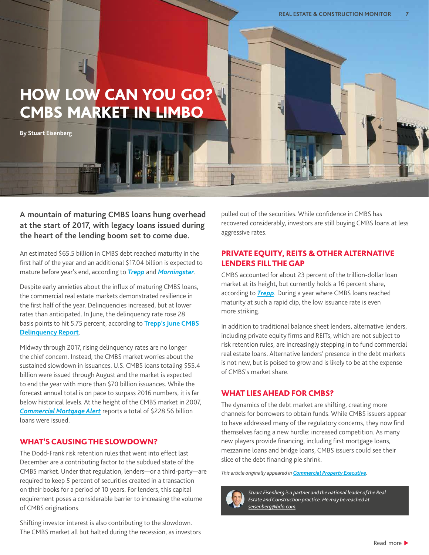## <span id="page-6-0"></span>HOW LOW CAN YOU GO? CMBS MARKET IN LIMBO

**By Stuart Eisenberg** 

**A mountain of maturing CMBS loans hung overhead at the start of 2017, with legacy loans issued during the heart of the lending boom set to come due.**

An estimated \$65.5 billion in CMBS debt reached maturity in the first half of the year and an additional \$17.04 billion is expected to mature before year's end, according to *[Trepp](http://info.trepp.com/trepptalk/wall-of-maturities-update-february-2017)* and *[Morningstar](http://www.nreionline.com/cmbs/cmbs-delinquencies-remain-muted)*.

Despite early anxieties about the influx of maturing CMBS loans, the commercial real estate markets demonstrated resilience in the first half of the year. Delinquencies increased, but at lower rates than anticipated. In June, the delinquency rate rose 28 basis points to hit 5.75 percent, according to **[Trepp's June CMBS](http://www.nreionline.com/cmbs/cmbs-delinquencies-remain-muted)  [Delinquency](http://www.nreionline.com/cmbs/cmbs-delinquencies-remain-muted) Report**.

Midway through 2017, rising delinquency rates are no longer the chief concern. Instead, the CMBS market worries about the sustained slowdown in issuances. U.S. CMBS loans totaling \$55.4 billion were issued through August and the market is expected to end the year with more than \$70 billion issuances. While the forecast annual total is on pace to surpass 2016 numbers, it is far below historical levels. At the height of the CMBS market in 2007, *[Commercial Mortgage Alert](https://na01.safelinks.protection.outlook.com/?url=https%3A%2F%2Fwww.cmalert.com%2Frankings.pl%3FQ%3D91&data=02%7C01%7CSEisenberg%40bdo.com%7C958f9cfd97224730999b08d4d071c42f%7C6e57fc1a413e405091da7d2dc8543e3c%7C0%7C0%7C636362634442378886&sdata=fZ)* reports a total of \$228.56 billion loans were issued.

#### WHAT'S CAUSING THE SLOWDOWN?

The Dodd-Frank risk retention rules that went into effect last December are a contributing factor to the subdued state of the CMBS market. Under that regulation, lenders—or a third-party—are required to keep 5 percent of securities created in a transaction on their books for a period of 10 years. For lenders, this capital requirement poses a considerable barrier to increasing the volume of CMBS originations.

Shifting investor interest is also contributing to the slowdown. The CMBS market all but halted during the recession, as investors pulled out of the securities. While confidence in CMBS has recovered considerably, investors are still buying CMBS loans at less aggressive rates.

#### PRIVATE EQUITY, REITS & OTHER ALTERNATIVE LENDERS FILL THE GAP

CMBS accounted for about 23 percent of the trillion-dollar loan market at its height, but currently holds a 16 percent share, according to *[Trepp](http://www.globest.com/sites/paulbubny/2017/07/25/why-is-cmbs-issuance-still-riding-the-brakes/)*. During a year where CMBS loans reached maturity at such a rapid clip, the low issuance rate is even more striking.

In addition to traditional balance sheet lenders, alternative lenders, including private equity firms and REITs, which are not subject to risk retention rules, are increasingly stepping in to fund commercial real estate loans. Alternative lenders' presence in the debt markets is not new, but is poised to grow and is likely to be at the expense of CMBS's market share.

#### WHAT LIES AHEAD FOR CMBS?

The dynamics of the debt market are shifting, creating more channels for borrowers to obtain funds. While CMBS issuers appear to have addressed many of the regulatory concerns, they now find themselves facing a new hurdle: increased competition. As many new players provide financing, including first mortgage loans, mezzanine loans and bridge loans, CMBS issuers could see their slice of the debt financing pie shrink.

*This article originally appeared in [Commercial Property Executive](https://www.cpexecutive.com/post/how-low-can-you-go-cmbs-market-in-limbo/).* 



*Stuart Eisenberg is a partner and the national leader of the Real Estate and Construction practice. He may be reached at [seisenberg@bdo.com.](mailto:?subject=)*